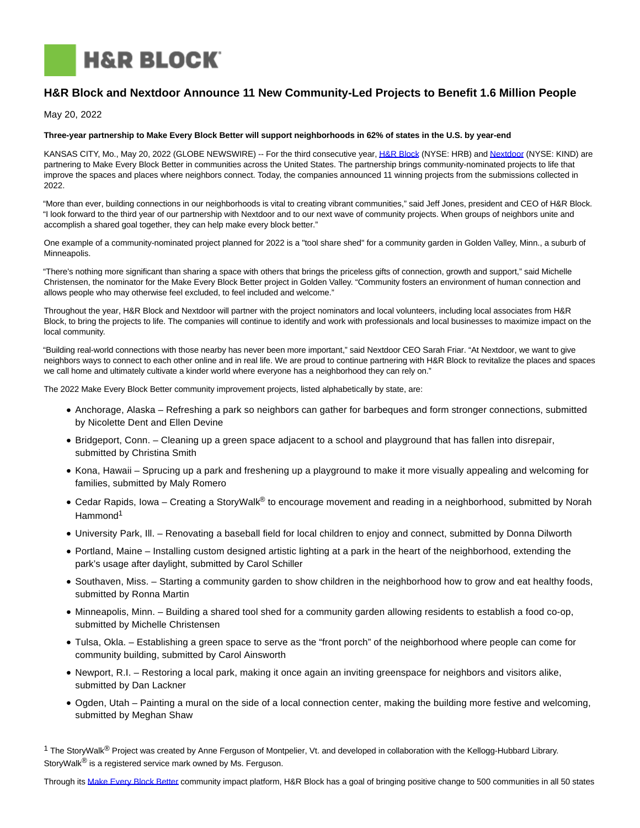

# **H&R Block and Nextdoor Announce 11 New Community-Led Projects to Benefit 1.6 Million People**

May 20, 2022

## **Three-year partnership to Make Every Block Better will support neighborhoods in 62% of states in the U.S. by year-end**

KANSAS CITY, Mo., May 20, 2022 (GLOBE NEWSWIRE) -- For the third consecutive year, [H&R Block \(](https://www.globenewswire.com/Tracker?data=4gowK0uSIHzUAIyeoo3H4OodBJyuWIUPgIHyV8677bRtLSermL4DnRcyBn0ILkX-obVfwykEzJpDAfIxE4Lv7Q==)NYSE: HRB) and [Nextdoor \(](https://www.globenewswire.com/Tracker?data=MtzUmLLjMQ-ObSrkVYJEwSI0IcPj_xwPQxjJTlKZaym-Cn1zX_t22zuqbEFvc15spnOkc5zei9EV5OaIB_L5EQ==)NYSE: KIND) are partnering to Make Every Block Better in communities across the United States. The partnership brings community-nominated projects to life that improve the spaces and places where neighbors connect. Today, the companies announced 11 winning projects from the submissions collected in 2022.

"More than ever, building connections in our neighborhoods is vital to creating vibrant communities," said Jeff Jones, president and CEO of H&R Block. "I look forward to the third year of our partnership with Nextdoor and to our next wave of community projects. When groups of neighbors unite and accomplish a shared goal together, they can help make every block better."

One example of a community-nominated project planned for 2022 is a "tool share shed" for a community garden in Golden Valley, Minn., a suburb of Minneapolis.

"There's nothing more significant than sharing a space with others that brings the priceless gifts of connection, growth and support," said Michelle Christensen, the nominator for the Make Every Block Better project in Golden Valley. "Community fosters an environment of human connection and allows people who may otherwise feel excluded, to feel included and welcome."

Throughout the year, H&R Block and Nextdoor will partner with the project nominators and local volunteers, including local associates from H&R Block, to bring the projects to life. The companies will continue to identify and work with professionals and local businesses to maximize impact on the local community.

"Building real-world connections with those nearby has never been more important," said Nextdoor CEO Sarah Friar. "At Nextdoor, we want to give neighbors ways to connect to each other online and in real life. We are proud to continue partnering with H&R Block to revitalize the places and spaces we call home and ultimately cultivate a kinder world where everyone has a neighborhood they can rely on."

The 2022 Make Every Block Better community improvement projects, listed alphabetically by state, are:

- Anchorage, Alaska Refreshing a park so neighbors can gather for barbeques and form stronger connections, submitted by Nicolette Dent and Ellen Devine
- Bridgeport, Conn. Cleaning up a green space adjacent to a school and playground that has fallen into disrepair, submitted by Christina Smith
- Kona, Hawaii Sprucing up a park and freshening up a playground to make it more visually appealing and welcoming for families, submitted by Maly Romero
- Cedar Rapids, Iowa Creating a StoryWalk<sup>®</sup> to encourage movement and reading in a neighborhood, submitted by Norah Hammond<sup>1</sup>
- University Park, Ill. Renovating a baseball field for local children to enjoy and connect, submitted by Donna Dilworth
- Portland, Maine Installing custom designed artistic lighting at a park in the heart of the neighborhood, extending the park's usage after daylight, submitted by Carol Schiller
- Southaven, Miss. Starting a community garden to show children in the neighborhood how to grow and eat healthy foods, submitted by Ronna Martin
- Minneapolis, Minn. Building a shared tool shed for a community garden allowing residents to establish a food co-op, submitted by Michelle Christensen
- Tulsa, Okla. Establishing a green space to serve as the "front porch" of the neighborhood where people can come for community building, submitted by Carol Ainsworth
- Newport, R.I. Restoring a local park, making it once again an inviting greenspace for neighbors and visitors alike, submitted by Dan Lackner
- Ogden, Utah Painting a mural on the side of a local connection center, making the building more festive and welcoming, submitted by Meghan Shaw

 $1$  The StoryWalk<sup>®</sup> Project was created by Anne Ferguson of Montpelier, Vt. and developed in collaboration with the Kellogg-Hubbard Library. StoryWalk<sup>®</sup> is a registered service mark owned by Ms. Ferguson.

Through its [Make Every Block Better c](https://www.globenewswire.com/Tracker?data=eNvuIasOFEt5Kn5HqOmDDD4UvZRe7A_p4eZDNN4p2m7QZNTZkbHb1Cca0Psj41VA6m73VsgmNiY0OrPmePmDydS6DF_5F0BgZ9DI62WJCwgMMsQtTd5ggW-jbEm4FADv)ommunity impact platform, H&R Block has a goal of bringing positive change to 500 communities in all 50 states